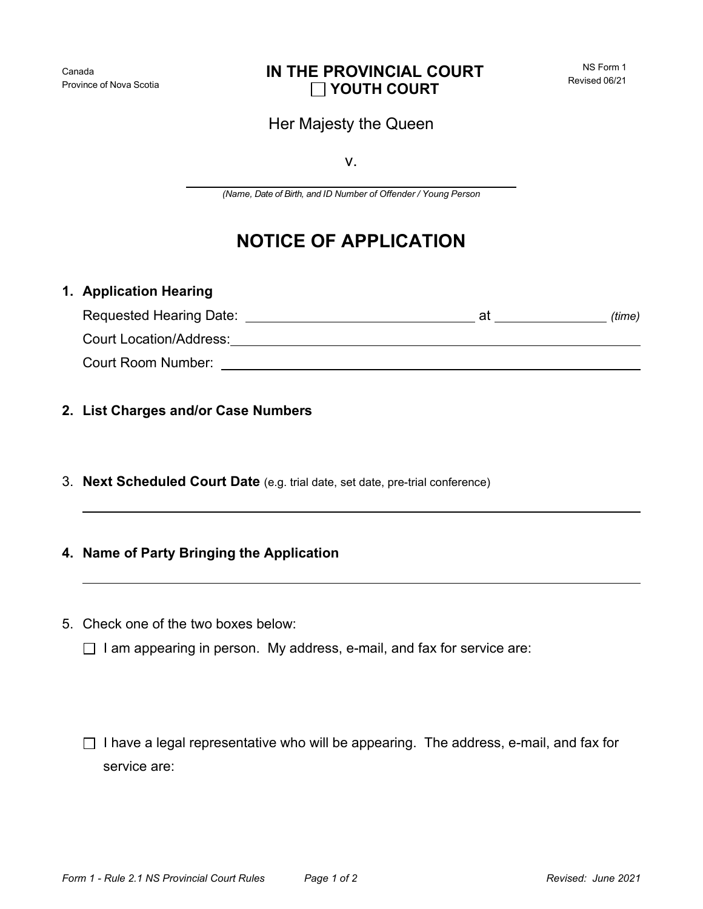## Her Majesty the Queen

v.

*(Name, Date of Birth, and ID Number of Offender / Young Person*

## **NOTICE OF APPLICATION**

## **1. Application Hearing**

| Requested Hearing Date:        | at | (time) |
|--------------------------------|----|--------|
| <b>Court Location/Address:</b> |    |        |
| Court Room Number:             |    |        |

- **2. List Charges and/or Case Numbers**
- 3. **Next Scheduled Court Date** (e.g. trial date, set date, pre-trial conference)

## **4. Name of Party Bringing the Application**

- 5. Check one of the two boxes below:
	- $\Box$  I am appearing in person. My address, e-mail, and fax for service are:

 $\Box$  I have a legal representative who will be appearing. The address, e-mail, and fax for service are: